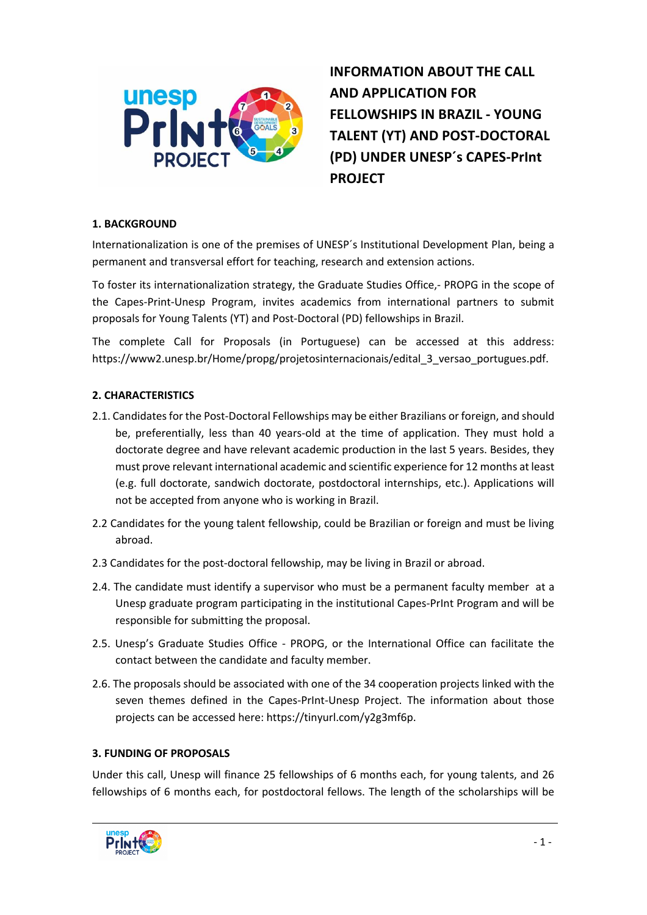

**INFORMATION ABOUT THE CALL AND APPLICATION FOR FELLOWSHIPS IN BRAZIL - YOUNG TALENT (YT) AND POST-DOCTORAL (PD) UNDER UNESP´s CAPES-PrInt PROJECT**

#### **1. BACKGROUND**

Internationalization is one of the premises of UNESP´s Institutional Development Plan, being a permanent and transversal effort for teaching, research and extension actions.

To foster its internationalization strategy, the Graduate Studies Office,- PROPG in the scope of the Capes-Print-Unesp Program, invites academics from international partners to submit proposals for Young Talents (YT) and Post-Doctoral (PD) fellowships in Brazil.

The complete Call for Proposals (in Portuguese) can be accessed at this address: https://www2.unesp.br/Home/propg/projetosinternacionais/edital\_3\_versao\_portugues.pdf.

#### **2. CHARACTERISTICS**

- 2.1. Candidates for the Post-Doctoral Fellowships may be either Brazilians or foreign, and should be, preferentially, less than 40 years-old at the time of application. They must hold a doctorate degree and have relevant academic production in the last 5 years. Besides, they must prove relevant international academic and scientific experience for 12 months at least (e.g. full doctorate, sandwich doctorate, postdoctoral internships, etc.). Applications will not be accepted from anyone who is working in Brazil.
- 2.2 Candidates for the young talent fellowship, could be Brazilian or foreign and must be living abroad.
- 2.3 Candidates for the post-doctoral fellowship, may be living in Brazil or abroad.
- 2.4. The candidate must identify a supervisor who must be a permanent faculty member at a Unesp graduate program participating in the institutional Capes-PrInt Program and will be responsible for submitting the proposal.
- 2.5. Unesp's Graduate Studies Office PROPG, or the International Office can facilitate the contact between the candidate and faculty member.
- 2.6. The proposals should be associated with one of the 34 cooperation projects linked with the seven themes defined in the Capes-PrInt-Unesp Project. The information about those projects can be accessed here: https://tinyurl.com/y2g3mf6p.

#### **3. FUNDING OF PROPOSALS**

Under this call, Unesp will finance 25 fellowships of 6 months each, for young talents, and 26 fellowships of 6 months each, for postdoctoral fellows. The length of the scholarships will be

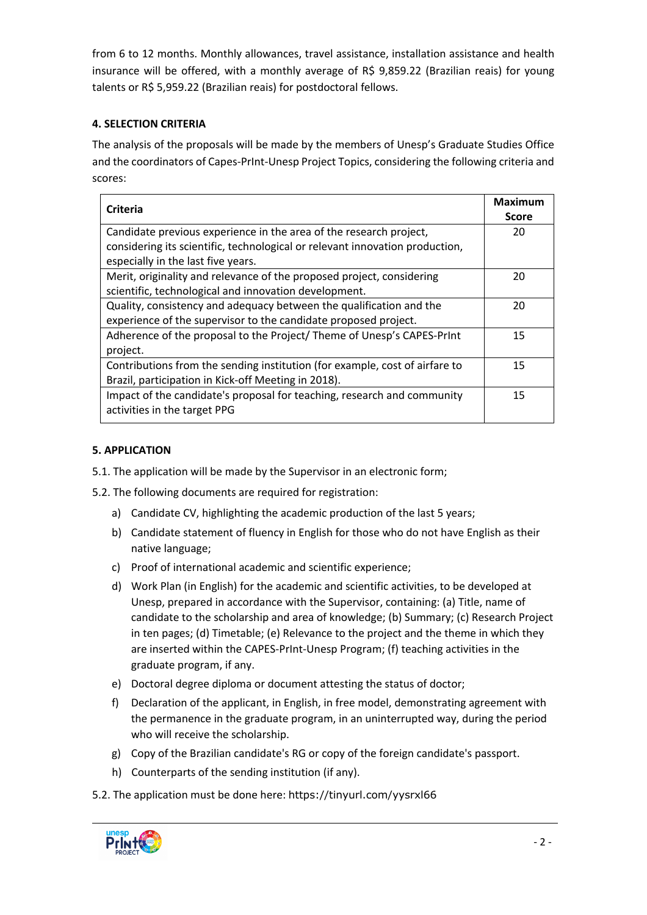from 6 to 12 months. Monthly allowances, travel assistance, installation assistance and health insurance will be offered, with a monthly average of R\$ 9,859.22 (Brazilian reais) for young talents or R\$ 5,959.22 (Brazilian reais) for postdoctoral fellows.

# **4. SELECTION CRITERIA**

The analysis of the proposals will be made by the members of Unesp's Graduate Studies Office and the coordinators of Capes-PrInt-Unesp Project Topics, considering the following criteria and scores:

| Criteria                                                                     | <b>Maximum</b> |
|------------------------------------------------------------------------------|----------------|
|                                                                              | <b>Score</b>   |
| Candidate previous experience in the area of the research project,           | 20             |
| considering its scientific, technological or relevant innovation production, |                |
| especially in the last five years.                                           |                |
| Merit, originality and relevance of the proposed project, considering        | 20             |
| scientific, technological and innovation development.                        |                |
| Quality, consistency and adequacy between the qualification and the          | 20             |
| experience of the supervisor to the candidate proposed project.              |                |
| Adherence of the proposal to the Project/Theme of Unesp's CAPES-Print        | 15             |
| project.                                                                     |                |
| Contributions from the sending institution (for example, cost of airfare to  | 15             |
| Brazil, participation in Kick-off Meeting in 2018).                          |                |
| Impact of the candidate's proposal for teaching, research and community      | 15             |
| activities in the target PPG                                                 |                |
|                                                                              |                |

# **5. APPLICATION**

- 5.1. The application will be made by the Supervisor in an electronic form;
- 5.2. The following documents are required for registration:
	- a) Candidate CV, highlighting the academic production of the last 5 years;
	- b) Candidate statement of fluency in English for those who do not have English as their native language;
	- c) Proof of international academic and scientific experience;
	- d) Work Plan (in English) for the academic and scientific activities, to be developed at Unesp, prepared in accordance with the Supervisor, containing: (a) Title, name of candidate to the scholarship and area of knowledge; (b) Summary; (c) Research Project in ten pages; (d) Timetable; (e) Relevance to the project and the theme in which they are inserted within the CAPES-PrInt-Unesp Program; (f) teaching activities in the graduate program, if any.
	- e) Doctoral degree diploma or document attesting the status of doctor;
	- f) Declaration of the applicant, in English, in free model, demonstrating agreement with the permanence in the graduate program, in an uninterrupted way, during the period who will receive the scholarship.
	- g) Copy of the Brazilian candidate's RG or copy of the foreign candidate's passport.
	- h) Counterparts of the sending institution (if any).
- 5.2. The application must be done here: https://tinyurl.com/yysrxl66